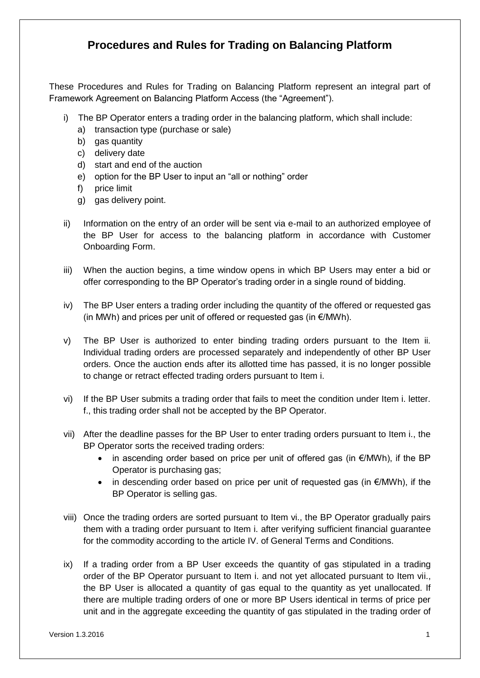## **Procedures and Rules for Trading on Balancing Platform**

These Procedures and Rules for Trading on Balancing Platform represent an integral part of Framework Agreement on Balancing Platform Access (the "Agreement").

- i) The BP Operator enters a trading order in the balancing platform, which shall include:
	- a) transaction type (purchase or sale)
	- b) gas quantity
	- c) delivery date
	- d) start and end of the auction
	- e) option for the BP User to input an "all or nothing" order
	- f) price limit
	- g) gas delivery point.
- ii) Information on the entry of an order will be sent via e-mail to an authorized employee of the BP User for access to the balancing platform in accordance with Customer Onboarding Form.
- iii) When the auction begins, a time window opens in which BP Users may enter a bid or offer corresponding to the BP Operator's trading order in a single round of bidding.
- iv) The BP User enters a trading order including the quantity of the offered or requested gas (in MWh) and prices per unit of offered or requested gas (in  $\epsilon$ /MWh).
- v) The BP User is authorized to enter binding trading orders pursuant to the Item ii. Individual trading orders are processed separately and independently of other BP User orders. Once the auction ends after its allotted time has passed, it is no longer possible to change or retract effected trading orders pursuant to Item i.
- vi) If the BP User submits a trading order that fails to meet the condition under Item i. letter. f., this trading order shall not be accepted by the BP Operator.
- vii) After the deadline passes for the BP User to enter trading orders pursuant to Item i., the BP Operator sorts the received trading orders:
	- in ascending order based on price per unit of offered gas (in  $E/MWh$ ), if the BP Operator is purchasing gas;
	- in descending order based on price per unit of requested gas (in €/MWh), if the BP Operator is selling gas.
- viii) Once the trading orders are sorted pursuant to Item vi., the BP Operator gradually pairs them with a trading order pursuant to Item i. after verifying sufficient financial guarantee for the commodity according to the article IV. of General Terms and Conditions.
- ix) If a trading order from a BP User exceeds the quantity of gas stipulated in a trading order of the BP Operator pursuant to Item i. and not yet allocated pursuant to Item vii., the BP User is allocated a quantity of gas equal to the quantity as yet unallocated. If there are multiple trading orders of one or more BP Users identical in terms of price per unit and in the aggregate exceeding the quantity of gas stipulated in the trading order of